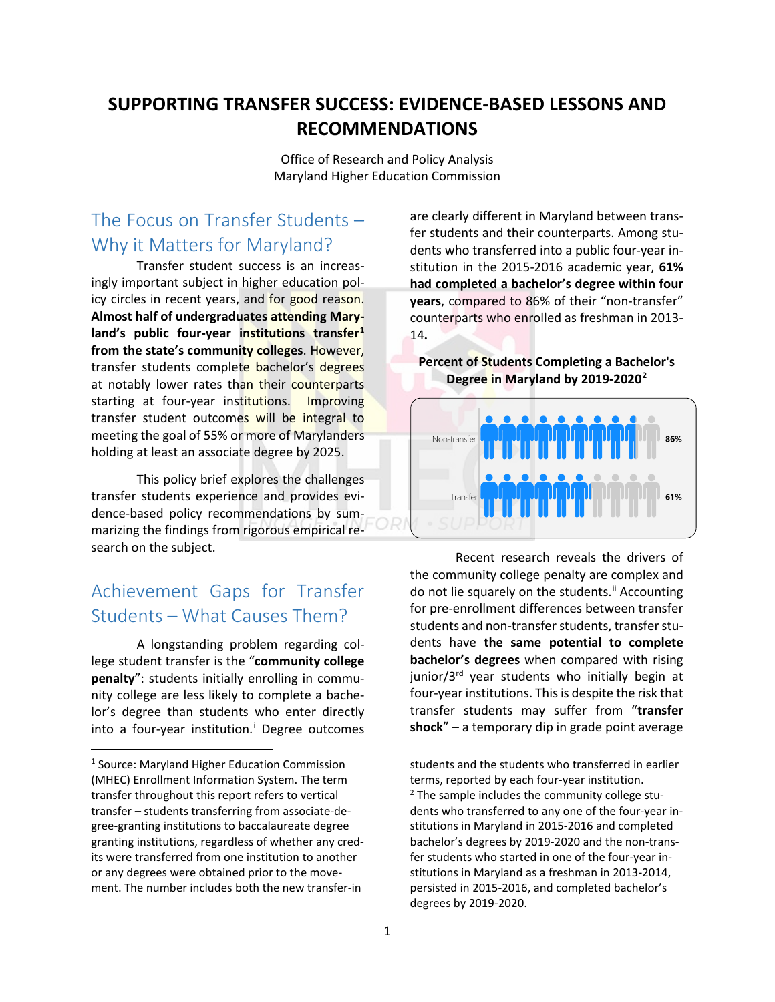# **SUPPORTING TRANSFER SUCCESS: EVIDENCE-BASED LESSONS AND RECOMMENDATIONS**

Office of Research and Policy Analysis Maryland Higher Education Commission

# The Focus on Transfer Students – Why it Matters for Maryland?

Transfer student success is an increasingly important subject in higher education policy circles in recent years, and for good reason. **Almost half of undergraduates attending Maryland's public four-year institutions transfer[1](#page-0-0) from the state's community colleges**. However, transfer students complete bachelor's degrees at notably lower rates than their counterparts starting at four-year institutions. Improving transfer student outcomes will be integral to meeting the goal of 55% or more of Marylanders holding at least an associate degree by 2025.

This policy brief explores the challenges transfer students experience and provides evidence-based policy recommendations by summarizing the findings from rigorous empirical research on the subject.

# Achievement Gaps for Transfer Students – What Causes Them?

A longstanding problem regarding college student transfer is the "**community college penalty**": students initially enrolling in community college are less likely to complete a bachelor's degree than students who enter directly [i](#page-3-0)nto a four-year institution.<sup>i</sup> Degree outcomes

are clearly different in Maryland between transfer students and their counterparts. Among students who transferred into a public four-year institution in the 2015-2016 academic year, **61% had completed a bachelor's degree within four years**, compared to 86% of their "non-transfer" counterparts who enrolled as freshman in 2013- 14**.**

**Percent of Students Completing a Bachelor's Degree in Maryland by 2019-2020[2](#page-0-1)**



Recent research reveals the drivers of the community college penalty are complex and do not lie squarely on the students.<sup>[ii](#page-3-0)</sup> Accounting for pre-enrollment differences between transfer students and non-transfer students, transfer students have **the same potential to complete bachelor's degrees** when compared with rising junior/3<sup>rd</sup> year students who initially begin at four-year institutions. This is despite the risk that transfer students may suffer from "**transfer shock**" – a temporary dip in grade point average

students and the students who transferred in earlier terms, reported by each four-year institution.  $2$  The sample includes the community college students who transferred to any one of the four-year institutions in Maryland in 2015-2016 and completed bachelor's degrees by 2019-2020 and the non-transfer students who started in one of the four-year institutions in Maryland as a freshman in 2013-2014, persisted in 2015-2016, and completed bachelor's degrees by 2019-2020.

<span id="page-0-1"></span><span id="page-0-0"></span> <sup>1</sup> Source: Maryland Higher Education Commission (MHEC) Enrollment Information System. The term transfer throughout this report refers to vertical transfer – students transferring from associate-degree-granting institutions to baccalaureate degree granting institutions, regardless of whether any credits were transferred from one institution to another or any degrees were obtained prior to the movement. The number includes both the new transfer-in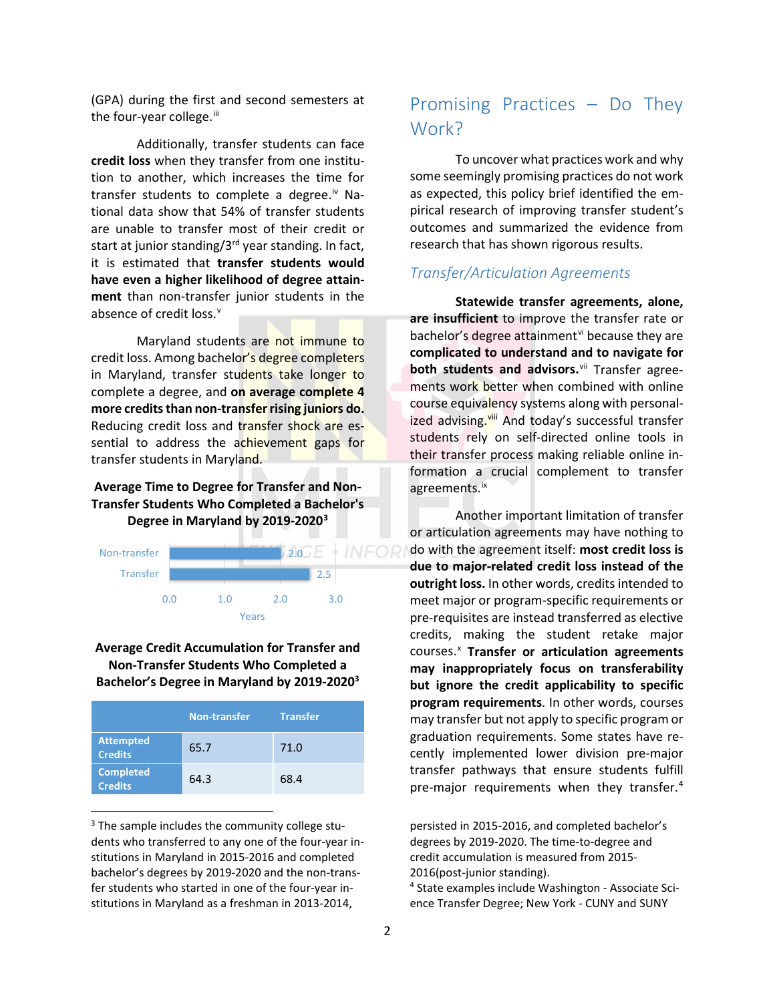(GPA) during the first and second semesters at the four-year college.<sup>iii</sup>

Additionally, transfer students can face **credit loss** when they transfer from one institution to another, which increases the time for transfer students to complete a degree.<sup>[iv](#page-4-1)</sup> National data show that 54% of transfer students are unable to transfer most of their credit or start at junior standing/ $3^{rd}$  year standing. In fact, it is estimated that **transfer students would have even a higher likelihood of degree attainment** than non-transfer junior students in the absence of credit loss.<sup>v</sup>

Maryland students are not immune to credit loss. Among bachelor's degree completers in Maryland, transfer students take longer to complete a degree, and **on average complete 4 more credits than non-transfer rising juniors do.** Reducing credit loss and transfer shock are essential to address the achievement gaps for transfer students in Maryland.

## **Average Time to Degree for Transfer and Non-Transfer Students Who Completed a Bachelor's Degree in Maryland by 2019-2020[3](#page-1-0)**



### **Average Credit Accumulation for Transfer and Non-Transfer Students Who Completed a Bachelor's Degree in Maryland by 2019-20203**

|                                    | <b>Non-transfer</b> | <b>Transfer</b> |
|------------------------------------|---------------------|-----------------|
| <b>Attempted</b><br><b>Credits</b> | 65.7                | 71.0            |
| <b>Completed</b><br><b>Credits</b> | 64.3                | 68.4            |

<span id="page-1-1"></span><span id="page-1-0"></span><sup>3</sup> The sample includes the community college students who transferred to any one of the four-year institutions in Maryland in 2015-2016 and completed bachelor's degrees by 2019-2020 and the non-transfer students who started in one of the four-year institutions in Maryland as a freshman in 2013-2014,

# Promising Practices – Do They Work?

To uncover what practices work and why some seemingly promising practices do not work as expected, this policy brief identified the empirical research of improving transfer student's outcomes and summarized the evidence from research that has shown rigorous results.

## *Transfer/Articulation Agreements*

**Statewide transfer agreements, alone, are insufficient** to improve the transfer rate or bachelor's degree attainment<sup>[vi](#page-4-3)</sup> because they are **complicated to understand and to navigate for**  both students and advisors.<sup>[vii](#page-4-4)</sup> Transfer agreements work better when combined with online course equivalency systems along with personalized advising.<sup>[viii](#page-4-5)</sup> And today's successful transfer students rely on self-directed online tools in their transfer process making reliable online information a crucial complement to transfer agreements.<sup>[ix](#page-4-6)</sup>

Another important limitation of transfer or articulation agreements may have nothing to do with the agreement itself: **most credit loss is due to major-related credit loss instead of the outright loss.** In other words, credits intended to meet major or program-specific requirements or pre-requisites are instead transferred as elective credits, making the student retake major courses. [x](#page-4-7) **Transfer or articulation agreements may inappropriately focus on transferability but ignore the credit applicability to specific program requirements**. In other words, courses may transfer but not apply to specific program or graduation requirements. Some states have recently implemented lower division pre-major transfer pathways that ensure students fulfill pre-major requirements when they transfer.<sup>[4](#page-1-1)</sup>

persisted in 2015-2016, and completed bachelor's degrees by 2019-2020. The time-to-degree and credit accumulation is measured from 2015- 2016(post-junior standing).

<sup>4</sup> State examples include Washington - Associate Science Transfer Degree; New York - CUNY and SUNY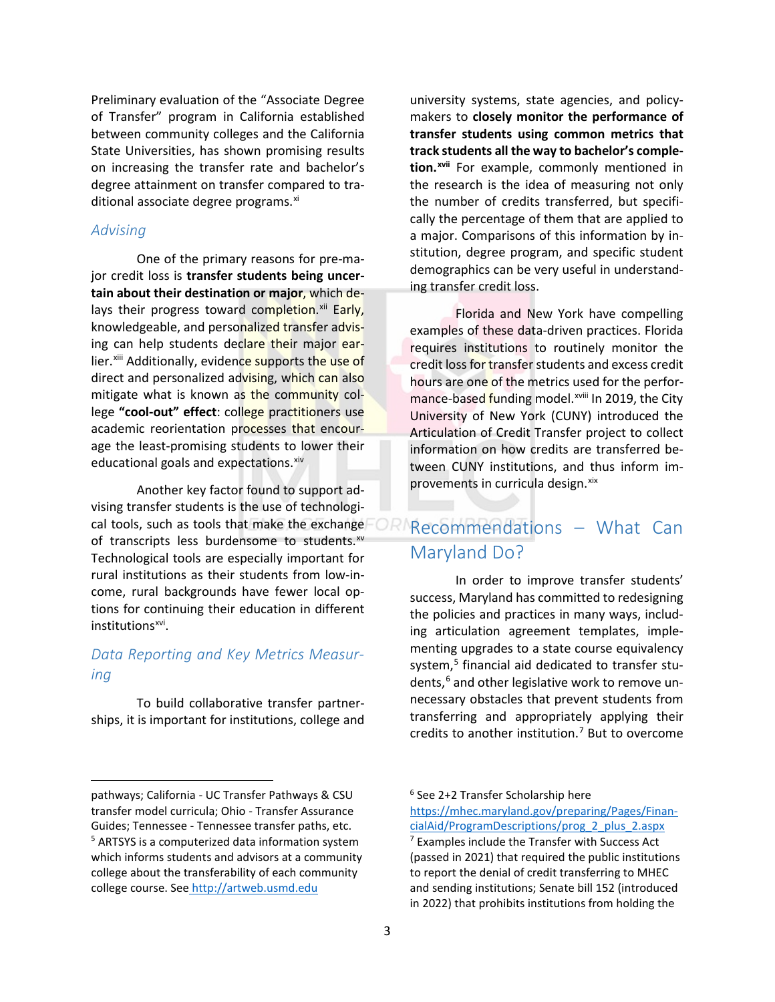Preliminary evaluation of the "Associate Degree of Transfer" program in California established between community colleges and the California State Universities, has shown promising results on increasing the transfer rate and bachelor's degree attainment on transfer compared to traditional associate degree programs.<sup>[xi](#page-4-8)</sup>

#### *Advising*

l

One of the primary reasons for pre-major credit loss is **transfer students being uncertain about their destination or major**, which delays their progress toward completion.<sup>[xii](#page-4-9)</sup> Early, knowledgeable, and personalized transfer advising can help students declare their major earlier.<sup>[xiii](#page-4-10)</sup> Additionally, evidence supports the use of direct and personalized advising, which can also mitigate what is known as the community college **"cool-out" effect**: college practitioners use academic reorientation processes that encourage the least-promising students to lower their educational goals and expectations. [xiv](#page-4-11)

Another key factor found to support advising transfer students is the use of technological tools, such as tools that make the exchange of transcripts less burdensome to students.<sup>[xv](#page-4-12)</sup> Technological tools are especially important for rural institutions as their students from low-income, rural backgrounds have fewer local options for continuing their education in different institutions<sup>xvi</sup>.

# *Data Reporting and Key Metrics Measuring*

To build collaborative transfer partnerships, it is important for institutions, college and university systems, state agencies, and policymakers to **closely monitor the performance of transfer students using common metrics that track students all the way to bachelor's completion. [xvii](#page-4-14)** For example, commonly mentioned in the research is the idea of measuring not only the number of credits transferred, but specifically the percentage of them that are applied to a major. Comparisons of this information by institution, degree program, and specific student demographics can be very useful in understanding transfer credit loss.

Florida and New York have compelling examples of these data-driven practices. Florida requires institutions to routinely monitor the credit loss for transfer students and excess credit hours are one of the metrics used for the perfor-mance-based funding model.<sup>xviii</sup> [I](#page-4-15)n 2019, the City University of New York (CUNY) introduced the Articulation of Credit Transfer project to collect information on how credits are transferred between CUNY institutions, and thus inform improvements in curricula design. [xix](#page-4-16)

# Recommendations – What Can Maryland Do?

In order to improve transfer students' success, Maryland has committed to redesigning the policies and practices in many ways, including articulation agreement templates, implementing upgrades to a state course equivalency system, [5](#page-2-0) financial aid dedicated to transfer students, [6](#page-2-1) and other legislative work to remove unnecessary obstacles that prevent students from transferring and appropriately applying their credits to another institution. [7](#page-2-0) But to overcome

<span id="page-2-1"></span><span id="page-2-0"></span>pathways; California - UC Transfer Pathways & CSU transfer model curricula; Ohio - Transfer Assurance Guides; Tennessee - Tennessee transfer paths, etc. <sup>5</sup> ARTSYS is a computerized data information system which informs students and advisors at a community college about the transferability of each community college course. See <http://artweb.usmd.edu>

<sup>6</sup> See 2+2 Transfer Scholarship here

[https://mhec.maryland.gov/preparing/Pages/Finan](https://mhec.maryland.gov/preparing/Pages/FinancialAid/ProgramDescriptions/prog_2_plus_2.aspx)[cialAid/ProgramDescriptions/prog\\_2\\_plus\\_2.aspx](https://mhec.maryland.gov/preparing/Pages/FinancialAid/ProgramDescriptions/prog_2_plus_2.aspx)  $7$  Examples include the Transfer with Success Act (passed in 2021) that required the public institutions to report the denial of credit transferring to MHEC and sending institutions; Senate bill 152 (introduced in 2022) that prohibits institutions from holding the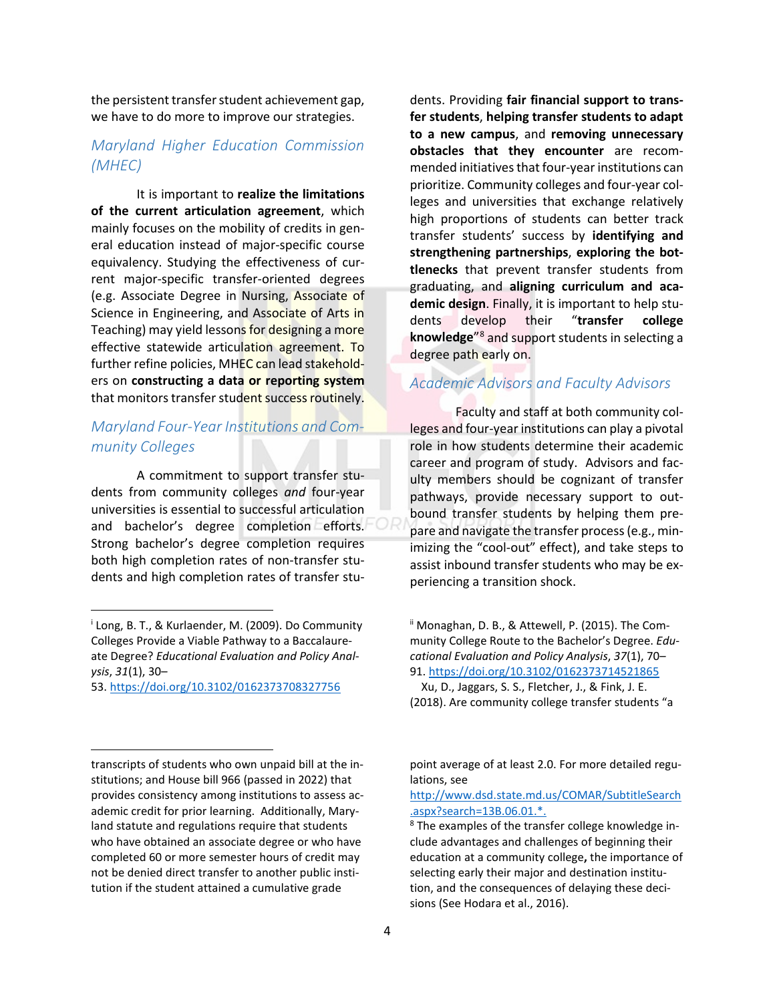the persistent transfer student achievement gap, we have to do more to improve our strategies.

## *Maryland Higher Education Commission (MHEC)*

It is important to **realize the limitations of the current articulation agreement**, which mainly focuses on the mobility of credits in general education instead of major-specific course equivalency. Studying the effectiveness of current major-specific transfer-oriented degrees (e.g. Associate Degree in Nursing, Associate of Science in Engineering, and Associate of Arts in Teaching) may yield lessons for designing a more effective statewide articulation agreement. To further refine policies, MHEC can lead stakeholders on **constructing a data or reporting system** that monitors transfer student success routinely.

# *Maryland Four-Year Institutions and Community Colleges*

A commitment to support transfer students from community colleges *and* four-year universities is essential to successful articulation and bachelor's degree completion efforts. Strong bachelor's degree completion requires both high completion rates of non-transfer students and high completion rates of transfer stu-

53. <https://doi.org/10.3102/0162373708327756>

l

 $\overline{\phantom{a}}$ 

<span id="page-3-1"></span>transcripts of students who own unpaid bill at the institutions; and House bill 966 (passed in 2022) that provides consistency among institutions to assess academic credit for prior learning. Additionally, Maryland statute and regulations require that students who have obtained an associate degree or who have completed 60 or more semester hours of credit may not be denied direct transfer to another public institution if the student attained a cumulative grade

dents. Providing **fair financial support to transfer students**, **helping transfer students to adapt to a new campus**, and **removing unnecessary obstacles that they encounter** are recommended initiatives that four-year institutions can prioritize. Community colleges and four-year colleges and universities that exchange relatively high proportions of students can better track transfer students' success by **identifying and strengthening partnerships**, **exploring the bottlenecks** that prevent transfer students from graduating, and **aligning curriculum and academic design**. Finally, it is important to help students develop their "**transfer college knowledge**"[8](#page-3-1) and support students in selecting a degree path early on.

## *Academic Advisors and Faculty Advisors*

Faculty and staff at both community colleges and four-year institutions can play a pivotal role in how students determine their academic career and program of study. Advisors and faculty members should be cognizant of transfer pathways, provide necessary support to outbound transfer students by helping them prepare and navigate the transfer process (e.g., minimizing the "cool-out" effect), and take steps to assist inbound transfer students who may be experiencing a transition shock.

<span id="page-3-0"></span><sup>i</sup> Long, B. T., & Kurlaender, M. (2009). Do Community Colleges Provide a Viable Pathway to a Baccalaureate Degree? *Educational Evaluation and Policy Analysis*, *31*(1), 30–

ii Monaghan, D. B., & Attewell, P. (2015). The Community College Route to the Bachelor's Degree. *Educational Evaluation and Policy Analysis*, *37*(1), 70– 91. <https://doi.org/10.3102/0162373714521865>

Xu, D., Jaggars, S. S., Fletcher, J., & Fink, J. E. (2018). Are community college transfer students "a

point average of at least 2.0. For more detailed regulations, see

[http://www.dsd.state.md.us/COMAR/SubtitleSearch](http://www.dsd.state.md.us/COMAR/SubtitleSearch.aspx?search=13B.06.01.*) [.aspx?search=13B.06.01.\\*.](http://www.dsd.state.md.us/COMAR/SubtitleSearch.aspx?search=13B.06.01.*)

<sup>&</sup>lt;sup>8</sup> The examples of the transfer college knowledge include advantages and challenges of beginning their education at a community college**,** the importance of selecting early their major and destination institution, and the consequences of delaying these decisions (See Hodara et al., 2016).